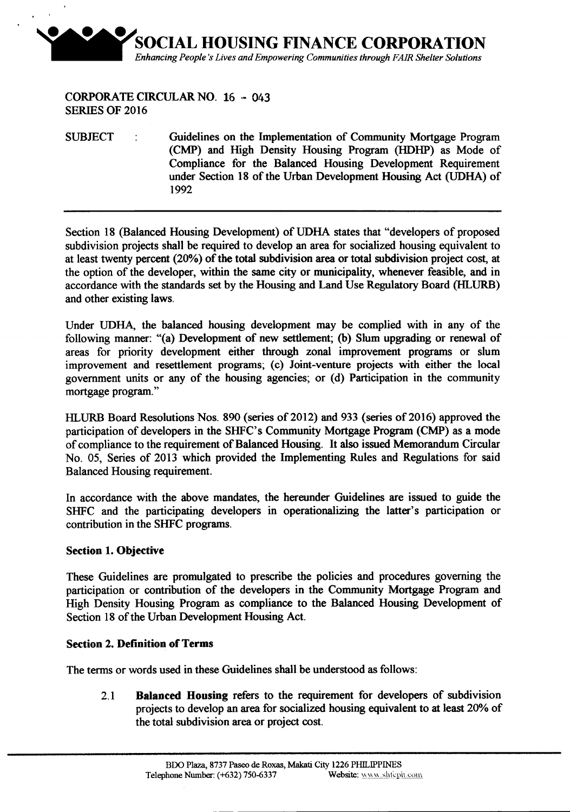

CORPORATE CIRCULAR NO. 16 .• *Ot,3* SERIES OF 2016

SUBJECT : Guidelines on the Implementation of Community Mortgage Program (CMP) and High Density Housing Program (HDHP) as Mode of Compliance for the Balanced Housing Development Requirement under Section 18 of the Urban Development Housing Act (UDHA) of 1992

Section 18 (Balanced Housing Development) of UDHA states that "developers of proposed subdivision projects shall be required to develop an area for socialized housing equivalent to at least twenty percent (20%) of the total subdivision area or total subdivision project cost, at the option of the developer, within the same city or municipality, whenever feasible, and in accordance with the standards set by the Housing and Land Use Regulatory Board (HLURB) and other existing laws.

Under UDHA, the balanced housing development may be complied with in any of the following manner: "(a) Development of new settlement; (b) Slum upgrading or renewal of areas for priority development either through zonal improvement programs or slum improvement and resettlement programs; (c) Joint-venture projects with either the local government units or any of the housing agencies; or (d) Participation in the community mortgage program."

HLURB Board Resolutions Nos. 890 (series of 2012) and 933 (series of 2016) approved the participation of developers in the SHFC's Community Mortgage Program (CMP) as a mode of compliance to the requirement of Balanced Housing. It also issued Memorandum Circular No. 05, Series of 2013 which provided the Implementing Rules and Regulations for said Balanced Housing requirement.

In accordance with the above mandates, the hereunder Guidelines are issued to guide the SHFC and the participating developers in operationalizing the latter's participation or contribution in the SHFC programs.

#### Section 1.Objective

These Guidelines are promulgated to prescribe the policies and procedures governing the participation or contribution of the developers in the Community Mortgage Program and High Density Housing Program as compliance to the Balanced Housing Development of Section 18 of the Urban Development Housing Act.

#### Section 2. Definition of Terms

The terms or words used in these Guidelines shall be understood as follows:

2.1 Balanced Housing refers to the requirement for developers of subdivision projects to develop an area for socialized housing equivalent to at least 20% of the total subdivision area or project cost.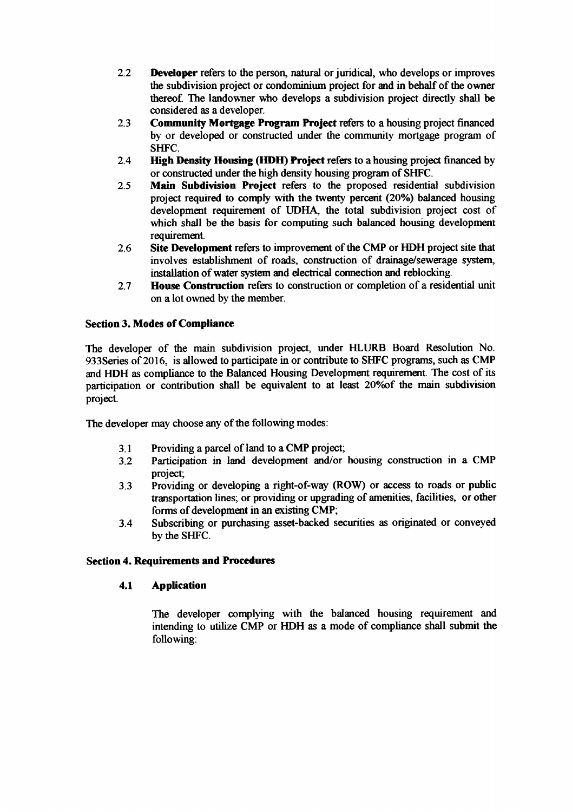- 2.2 Developer refers to the person, natural or juridical, who develops or improves the subdivision project or condominium project for and in behalf of the owner thereof The landowner who develops a subdivision project directly shall be considered as a developer.
- 2.3 Community Mortgage Program Project refers to a housing project financed by or developed or constructed under the community mortgage program of SHFC.
- 2.4 **High Density Housing (HDH) Project** refers to a housing project financed by or constructed under the high density housing program of SHFC.
- 2.5 Main Subdivision Project refers to the proposed residential subdivision project required to comply with the twenty percent (20%) balanced housing development requirement of UDHA, the total subdivision project cost of which shall be the basis for computing such balanced housing development requirement.
- 2.6 Site Development refers to improvement of the CMP or HDH project site that involves establishment of roads, construction of drainage/sewerage system, installation of water system and electrical connection and reblocking.
- 2.7 House Construction refers to construction or completion of a residential unit on a lot owned by the member.

#### Section 3.Modes of Compliance

The developer of the main subdivision project, under HLURB Board Resolution No. 933Series of 2016, is allowed to participate in or contribute to SHFC programs, such as CMP and HDH as compliance to the Balanced Housing Development requirement. The cost of its participation or contribution shall be equivalent to at least 20% of the main subdivision project.

The developer may choose any of the following modes:

- 3.1 Providing a parcel of land to a CMP project;
- 3.2 Participation in land development and/or housing construction in a CMP project;
- 3.3 Providing or developing a right-of-way (ROW) or access to roads or public transportation lines; or providing or upgrading of amenities, facilities, or other forms of development in an existing CMP;
- 3.4 Subscribing or purchasing asset-backed securities as originated or conveyed by the SHFC.

#### Section 4. Requirements and Procedures

#### 4.1 Application

The developer complying with the balanced housing requirement and intending to utilize CMP or HDH as a mode of compliance shall submit the following: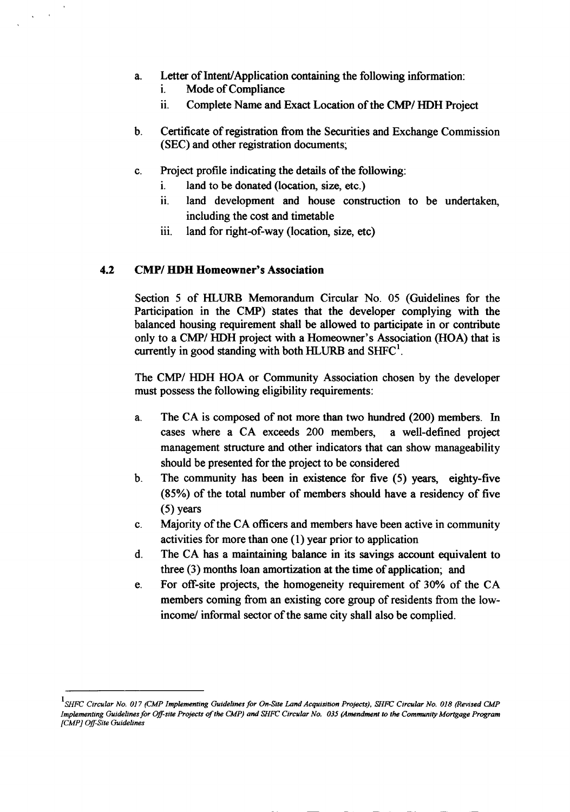- a. Letter of Intent/Application containing the following information:
	- 1. Mode of Compliance
	- 11. Complete Name and Exact Location of the *CMPI* HDH Project
- b. Certificate of registration from the Securities and Exchange Commission (SEC) and other registration documents;
- c. Project profile indicating the details of the following:
	- 1. land to be donated (location, size, etc.)
	- ii. land development and house construction to be undertaken, including the cost and timetable
	- iii. land for right-of-way (location, size, etc)

# *4.2 CMPI* HDH Homeowner's Association

Section 5 of HLURB Memorandum Circular No. 05 (Guidelines for the Participation in the CMP) states that the developer complying with the balanced housing requirement shall be allowed to participate in or contribute only to a *CMP/HDH* project with a Homeowner's Association (HOA) that is currently in good standing with both HLURB and  $SHFC<sup>1</sup>$ .

The *CMPI* HDH HOA or Community Association chosen by the developer must possess the following eligibility requirements:

- a. The CA is composed of not more than two hundred (200) members. In cases where a CA exceeds 200 members, a well-defined project management structure and other indicators that can show manageability should be presented for the project to be considered
- b. The community has been in existence for five (5) years, eighty-five (85%) of the total number of members should have a residency of five (5) years
- c. Majority of the CA officers and members have been active in community activities for more than one (I) year prior to application
- d. The CA has a maintaining balance in its savings account equivalent to three (3) months loan amortization at the time of application; and
- e. For off-site projects, the homogeneity requirement of 30% of the CA members coming from an existing core group of residents from the lowincome/ informal sector of the same city shall also be complied.

- - -- -- -- --------

 $^{\rm l}$ SHFC Circular No. 017 (CMP Implementing Guidelines for On-Site Land Acquisition Projects), SHFC Circular No. 018 (Revised CMP Implementing Guidelines for Off-site Projects of the CMP) and SHFC Circular No. 035 (Amendment to the Community Mortgage Program *[CMP] Ojf-Site Guidelines*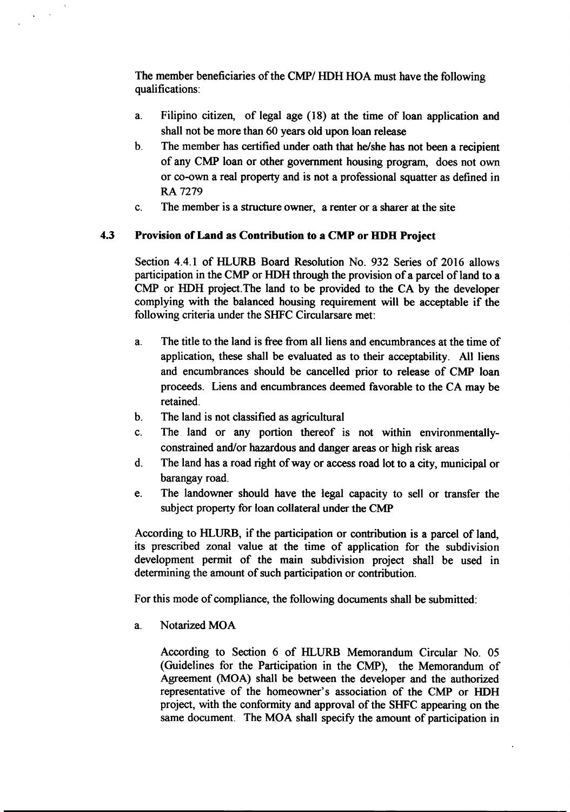The member beneficiaries of the *CMPI* HDH HOA must have the following qualifications:

- a. Filipino citizen, of legal age (18) at the time of loan application and shall not be more than 60 years old upon loan release
- b. The member has certified under oath that he/she has not been a recipient of any CMP loan or other government housing program, does not own or co-own a real property and is not a professional squatter as defined in RA 7279
- c. The member is a structure owner, a renter or a sharer at the site

# 4.3 Provision of Land as Contribution to a CMP or HDB Project

Section 4.4.1 of HLURB Board Resolution No. 932 Series of 2016 allows participation in the CMP or HDH through the provision of a parcel of land to a CMP or HDH project.The land to be provided to the CA by the developer complying with the balanced housing requirement will be acceptable if the following criteria under the SHFC Circularsare met:

- a. The title to the land is free from all liens and encumbrances at the time of application, these shall be evaluated as to their acceptability. All liens and encumbrances should be cancelled prior to release of CMP loan proceeds. Liens and encumbrances deemed favorable to the CA may be retained.
- b. The land is not classified as agricultural
- c. The land or any portion thereof is not within environmentallyconstrained and/or hazardous and danger areas or high risk areas
- d. The land has a road right of way or access road lot to a city, municipal or barangay road.
- e. The landowner should have the legal capacity to sell or transfer the subject property for loan collateral under the CMP

According to HLURB, if the participation or contribution is a parcel of land, its prescribed zonal value at the time of application for the subdivision development permit of the main subdivision project shall be used in determining the amount of such participation or contribution.

For this mode of compliance, the following documents shall be submitted:

a. Notarized MOA

According to Section 6 of HLURB Memorandum Circular No. 05 (Guidelines for the Participation in the CMP), the Memorandum of Agreement (MOA) shall be between the developer and the authorized representative of the homeowner's association of the CMP or HDH project, with the conformity and approval of the SHFC appearing on the same document. The MOA shall specify the amount of participation in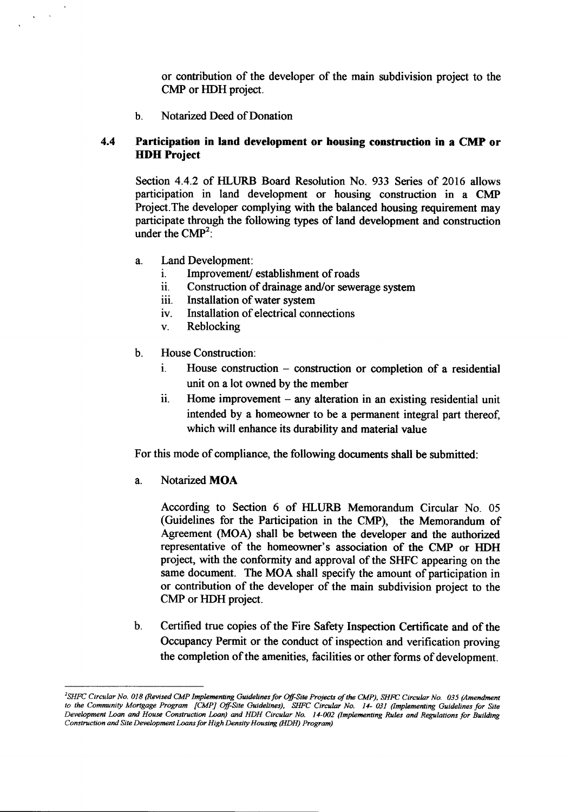or contribution of the developer of the main subdivision project to the CMP or HDH project.

h. Notarized Deed of Donation

### 4.4 Participation in land development or housing construction in a CMP or **HDH** Project

Section 4.4.2 of HLURB Board Resolution No. 933 Series of 2016 allows participation in land development or housing construction in a CMP Project.The developer complying with the balanced housing requirement may participate through the following types of land development and construction under the  $\text{CMP}^2$ .

- a. Land Development:
	- i. Improvement/establishment of roads
	- ii. Construction of drainage and/or sewerage system
	- iii. Installation of water system
	- iv. Installation of electrical connections
	- v. Reblocking
- b. House Construction:
	- i. House construction construction or completion of a residential unit on a lot owned by the member
	- ii. Home improvement any alteration in an existing residential unit intended by a homeowner to be a permanent integral part thereof, which will enhance its durability and material value

For this mode of compliance, the following documents shall be submitted:

a. Notarized MOA

According to Section 6 of HLURB Memorandum Circular No. 05 (Guidelines for the Participation in the CMP), the Memorandum of Agreement (MOA) shall be between the developer and the authorized representative of the homeowner's association of the CMP or HDH project, with the conformity and approval of the SHFC appearing on the same document. The MOA shall specify the amount of participation in or contribution of the developer of the main subdivision project to the CMP or HDH project.

b. Certified true copies of the Fire Safety Inspection Certificate and of the Occupancy Permit or the conduct of inspection and verification proving the completion of the amenities, facilities or other forms of development.

<sup>&</sup>lt;sup>2</sup>SHFC Circular No. 018 (Revised CMP Implementing Guidelines for Off-Site Projects of the CMP), SHFC Circular No. 035 (Amendment to the Community Mortgage Program [CMP] Off-Site Guidelines), SHFC Circular No. 14-031 (Implementing Guidelines for Site Development Loan and House Construction Loan) and HDH Circular No. 14-002 (Implementing Rules and Regulations for Building *Construction and Site Development Loans for High Density Housing (HDH) Program)*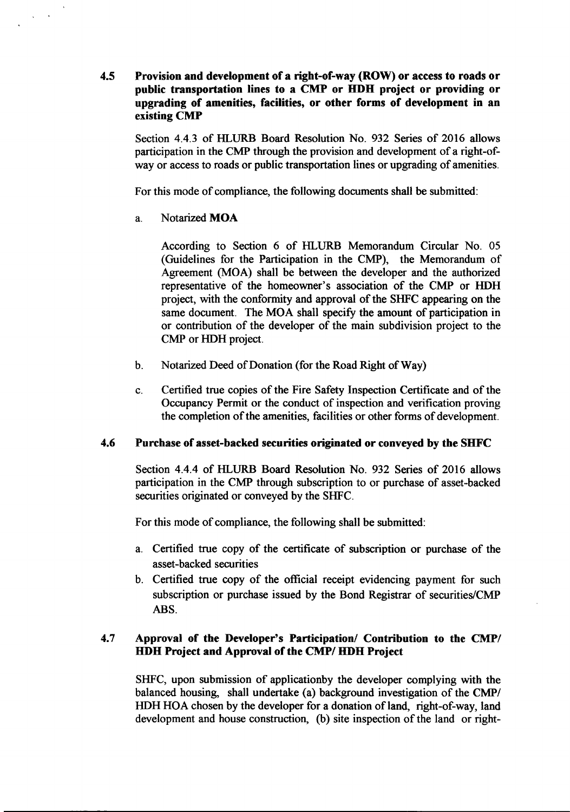4.5 Provision and development of a right-of-way (ROW) or accessto roads or public transportation lines to a CMP or HDH project or providing or upgrading of amenities, facilities, or other forms of development in an existing CMP

Section 4.4.3 of HLURB Board Resolution No. 932 Series of 2016 allows participation in the CMP through the provision and development of a right-ofway or access to roads or public transportation lines or upgrading of amenities.

For this mode of compliance, the following documents shall be submitted:

a. Notarized MOA

According to Section 6 of HLURB Memorandum Circular No. 05 (Guidelines for the Participation in the CMP), the Memorandum of Agreement (MOA) shall be between the developer and the authorized representative of the homeowner's association of the CMP or HDH project, with the conformity and approval of the SIIFC appearing on the same document. The MOA shall specify the amount of participation in or contribution of the developer of the main subdivision project to the CMP or HDH project.

- b. Notarized Deed of Donation (for the Road Right of Way)
- c. Certified true copies of the Fire Safety Inspection Certificate and of the Occupancy Permit or the conduct of inspection and verification proving the completion of the amenities, facilities or other forms of development.

# 4.6 Purchase of asset-backed securities originated or conveyed by the SHFC

Section 4.4.4 of HLURB Board Resolution No. 932 Series of 2016 allows participation in the CMP through subscription to or purchase of asset-backed securities originated or conveyed by the SHFC.

For this mode of compliance, the following shall be submitted:

- a. Certified true copy of the certificate of subscription or purchase of the asset-backed securities
- b. Certified true copy of the official receipt evidencing payment for such subscription or purchase issued by the Bond Registrar of securities/CMP ABS.

# 4.7 Approval of the Developer's Participation/ Contribution to the CMP/ HDH Project and Approval of the CMP/HDH Project

SlIFC, upon submission of applicationby the developer complying with the balanced housing, shall undertake (a) background investigation of the  $CMP$ HDH HOA chosen by the developer for a donation of land, right-of-way, land development and house construction, (b) site inspection of the land or right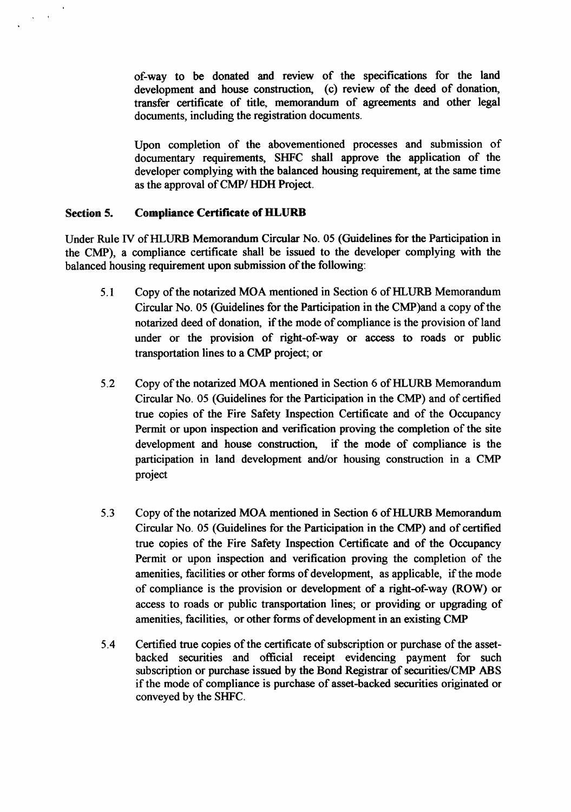of-way to be donated and review of the specifications for the land development and house construction, (c) review of the deed of donation, transfer certificate of title, memorandum of agreements and other legal documents, including the registration documents.

Upon completion of the abovementioned processes and submission of documentary requirements, SHFC shall approve the application of the developer complying with the balanced housing requirement, at the same time asthe approval of CMP/ HDH Project.

# Section 5. Compliance Certificate of HLURB

 $\mathbf{r}$  $\mathbf{x}^{\mathrm{in}}$ 

> Under Rule IV ofHLURB Memorandum Circular No. 05 (Guidelines for the Participation in the CMP), a compliance certificate shall be issued to the developer complying with the balanced housing requirement upon submission of the following:

- 5.1 Copy of the notarized MOA mentioned in Section 6 of HLURB Memorandum Circular No. 05 (Guidelines for the Participation in the CMP)and a copy of the notarized deed of donation, if the mode of compliance is the provision of land under or the provision of right-of-way or access to roads or public transportation lines to a CMP project; or
- 5.2 Copy of the notarized MOA mentioned in Section 6 ofHLURB Memorandum Circular No. 05 (Guidelines for the Participation in the CMP) and of certified true copies of the Fire Safety Inspection Certificate and of the Occupancy Permit or upon inspection and verification proving the completion of the site development and house construction, if the mode of compliance is the participation in land development and/or housing construction in a CMP project
- 5.3 Copy of the notarized MOA mentioned in Section 6 of HLURB Memorandum Circular No. 05 (Guidelines for the Participation in the CMP) and of certified true copies of the Fire Safety Inspection Certificate and of the Occupancy Permit or upon inspection and verification proving the completion of the amenities, facilities or other forms of development, as applicable, if the mode of compliance is the provision or development of a right-of-way (ROW) or access to roads or public transportation lines; or providing or upgrading of amenities, facilities, or other forms of development in an existing CMP
- 5.4 Certified true copies of the certificate of subscription or purchase of the assetbacked securities and official receipt evidencing payment for such subscription or purchase issued by the Bond Registrar of securities/CMP ABS if the mode of compliance is purchase of asset-backed securities originated or conveyed by the SHFC.